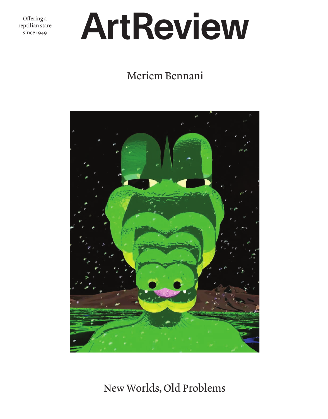Offering a<br>reptilian stare  $\frac{1}{\text{since } 1949}$ 

# ArtReview

## Meriem Bennani



New Worlds, Old Problems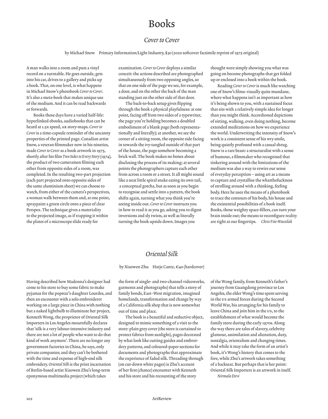## Books

#### *Cover to Cover*

by Michael Snow Primary Information/Light Industry, \$30 (2020 softcover facsimile reprint of 1975 original)

A man walks into a room and puts a vinyl record on a turntable. He goes outside, gets into his car, drives to a gallery and picks up a book. That, on one level, is what happens in Michael Snow's photobook *Cover to Cover*. It's also a meta-book that makes unique use of the medium. And it can be read backwards or forwards.

Books these days have a varied half-life: hyperlinked ebooks, audiobooks that can be heard at 1.5x speed, ar story-maps. *Cover to Cover* is a time-capsule reminder of the uncanny properties of the printed page. Canadian artist Snow, a veteran filmmaker now in his nineties, made *Cover to Cover* as a book artwork in 1975, shortly after his film *Two Sides to Every Story* (1974), the product of two cameramen filming each other from opposite sides of a room, was completed. In the resulting two-part projection (each part projected onto opposite sides of the same aluminium sheet) we can choose to watch, from either of the camera's perspectives, a woman walk between them and, at one point, spraypaint a green circle onto a piece of clear Perspex. The technique gives a materiality to the projected image, as if trapping it within the plates of a microscope slide ready for

examination. *Cover to Cover* deploys a similar conceit: the actions described are photographed simultaneously from two opposing angles, so that on one side of the page we see, for example, a door, and on the other the back of the man standing just on the other side of that door.

The back-to-back setup gives flipping through the book a physical playfulness: at one point, facing off from two sides of a typewriter, the page you're holding becomes a doubled embodiment of a blank page (both representationally and literally); at another, we see the corner of a sitting room, the opposite side facing in towards the ivy-tangled outside of that part of the house, the page somehow becoming a brick wall. The book makes no bones about disclosing the process of its making; at several points the photographers capture each other from across a room or a street. It all might sound like a neat little spiral snake eating its own tail, a conceptual gotcha, but as soon as you begin to recognise and settle into a pattern, the book shifts again, turning what you think you're seeing inside out. *Cover to Cover* instructs you in how to read it as you go, asking you to digest inversions and sly twists, as well as literally turning the book upside down. Images you

thought were simply showing you what was going on become photographs that get folded up or enclosed into a book within the book.

Reading *Cover to Cover* is much like watching one of Snow's films: visually quite mundane, where what happens isn't as important as how it's being shown to you, with a sustained focus that sits with a relatively simple idea for longer than you might think. Accordioned depictions of sitting, walking, even doing nothing, become extended meditations on how we experience the world. Underwriting the intensity of Snow's work is a consistent sense of his wry smile, being quietly profound with a casual shrug. Snow is a rare beast: a structuralist with a sense of humour, a filmmaker who recognised that tinkering around with the limitations of the medium was also a way to rewire our sense of everyday perception – using art as a means to capture and crystallise the whatthefuckness of strolling around with a thinking, feeling body. Here he uses the means of a photobook to trace the contours of his body, his house and the existential possibilities of a book itself. Books, those weighty space-fillers, can turn your brain inside out; the means to reconfigure reality are right at our fingertips. *Chris Fite-Wassilak*

### *Oriental Silk*

by Xiaowen Zhu Hatje Cantz, €40 (hardcover)

Having described how Madonna's designer had come to his store to buy some fabric to make pyjamas for the popstar's daughter Lourdes, and then an encounter with a solo embroiderer working on a large piece in China with nothing but a naked lightbulb to illuminate her project, Kenneth Wong, the proprietor of Oriental Silk Importers in Los Angeles mournfully declares that 'silk is a very labour-intensive industry and there are not a lot of people who want to do that kind of work anymore'. There are no longer any government factories in China, he says, only private companies; and they can't be bothered with the time and expense of high-end silk embroidery. *Oriental Silk* is the print incarnation of Berlin-based artist Xiaowen Zhu's long-term eponymous multimedia project (which takes

the form of single- and two-channel videoworks, garments and photographs) that tells a story of family bonds, East–West migration, imagined homelands, transformation and change by way of a California silk shop that is now somewhat out of time and place.

The book is a beautiful and seductive object, designed to mimic something of a visit to the store: plain grey cover (the store is curtained to protect fabrics from sunlight), pages decorated by what look like cutting guides and embroidery patterns, and coloured-paper sections for documents and photographs that approximate the experience of faded silk. Threading through (on cut-down white pages) is Zhu's account of her first (chance) encounter with Kenneth and his store and his recounting of the story

of the Wong family, from Kenneth's father's journey from Guangdong province to Los Angeles, the elder Wong's time spent serving in the us armed forces during the Second World War, his arranging for his family to leave China and join him in the us, to the establishment of what would become the family store during the early 1970s. Along the way there are tales of slavery, celebrity glamour, assimilation and alienation, duty, nostalgia, orientalism and changing times. And while it may take the form of an artist's book, it's Wong's history that comes to the fore, while Zhu's artwork takes something of a backseat. But perhaps that is her point: Oriental Silk Importers is an artwork in itself. *Nirmala Devi*